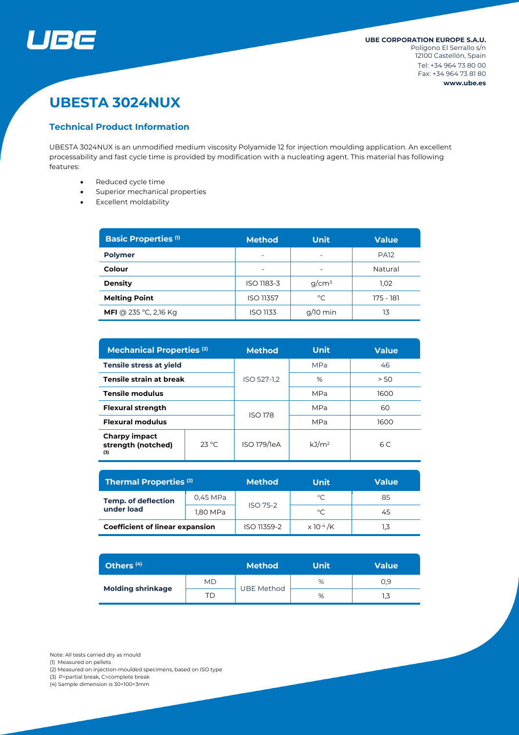

# **UBESTA 3024NUX**

## **Technical Product Information**

UBESTA 3024NUX is an unmodified medium viscosity Polyamide 12 for injection moulding application. An excellent processability and fast cycle time is provided by modification with a nucleating agent. This material has following features:

- Reduced cycle time
- Superior mechanical properties
- Excellent moldability

| <b>Basic Properties (1)</b>  | <b>Method</b>            | <b>Unit</b>              | <b>Value</b> |  |
|------------------------------|--------------------------|--------------------------|--------------|--|
| <b>Polymer</b>               | ۰                        | $\overline{\phantom{0}}$ | <b>PA12</b>  |  |
| Colour                       | $\overline{\phantom{0}}$ | $\overline{\phantom{0}}$ | Natural      |  |
| <b>Density</b>               | ISO 1183-3               | $q/cm^3$                 | 1,02         |  |
| <b>Melting Point</b>         | <b>ISO 11357</b>         | °C                       | 175 - 181    |  |
| <b>MFI</b> @ 235 °C, 2,16 Kg | ISO 1133                 | $q/10$ min               | 13           |  |

| <b>Mechanical Properties (2)</b>                  |                | <b>Unit</b><br><b>Method</b> |                   | <b>Value</b> |  |
|---------------------------------------------------|----------------|------------------------------|-------------------|--------------|--|
| <b>Tensile stress at yield</b>                    |                | ISO 527-1,2                  | <b>MPa</b>        | 46           |  |
| <b>Tensile strain at break</b>                    |                |                              | %                 | > 50         |  |
| <b>Tensile modulus</b>                            |                |                              | <b>MPa</b>        | 1600         |  |
| <b>Flexural strength</b>                          |                | <b>ISO 178</b>               | <b>MPa</b>        | 60           |  |
| <b>Flexural modulus</b>                           |                |                              | <b>MPa</b>        | 1600         |  |
| <b>Charpy impact</b><br>strength (notched)<br>(3) | $23^{\circ}$ C | ISO 179/1eA                  | kJ/m <sup>2</sup> | 6C           |  |

| <b>Thermal Properties (2)</b>            |          | <b>Method</b>   | <b>Unit</b>                  | <b>Value</b> |  |
|------------------------------------------|----------|-----------------|------------------------------|--------------|--|
| <b>Temp. of deflection</b><br>under load | 0,45 MPa | <b>ISO 75-2</b> | °C                           | 85           |  |
|                                          | 1,80 MPa |                 | °C                           | 45           |  |
| <b>Coefficient of linear expansion</b>   |          | ISO 11359-2     | $\times$ 10 <sup>-4</sup> /K |              |  |

| Others <sup>(4)</sup>    |    | <b>Method</b>     | Unit | <b>Value</b> |  |
|--------------------------|----|-------------------|------|--------------|--|
| <b>Molding shrinkage</b> | MD |                   | %    | 0.9          |  |
|                          | ΤD | <b>UBE Method</b> | %    | 1,3          |  |

(1) Measured on pellets

(2) Measured on injection-moulded specimens, based on ISO type

(3) P=partial break, C=complete break

(4) Sample dimension is 30×100×3mm